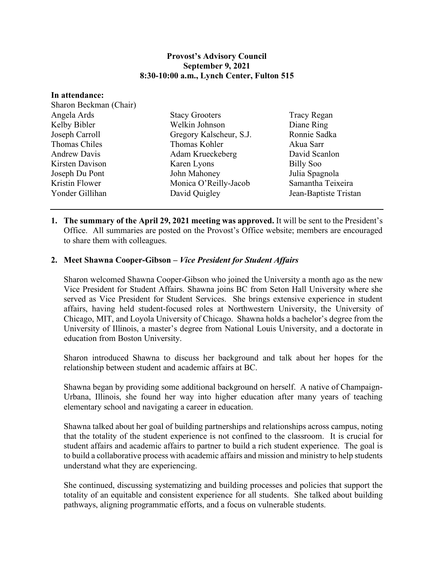## **Provost's Advisory Council September 9, 2021 8:30-10:00 a.m., Lynch Center, Fulton 515**

| In attendance:         |                         |                       |
|------------------------|-------------------------|-----------------------|
| Sharon Beckman (Chair) |                         |                       |
| Angela Ards            | <b>Stacy Grooters</b>   | <b>Tracy Regan</b>    |
| Kelby Bibler           | Welkin Johnson          | Diane Ring            |
| Joseph Carroll         | Gregory Kalscheur, S.J. | Ronnie Sadka          |
| Thomas Chiles          | Thomas Kohler           | Akua Sarr             |
| <b>Andrew Davis</b>    | Adam Krueckeberg        | David Scanlon         |
| Kirsten Davison        | Karen Lyons             | <b>Billy Soo</b>      |
| Joseph Du Pont         | John Mahoney            | Julia Spagnola        |
| Kristin Flower         | Monica O'Reilly-Jacob   | Samantha Teixeira     |
| Yonder Gillihan        | David Quigley           | Jean-Baptiste Tristan |

**1. The summary of the April 29, 2021 meeting was approved.** It will be sent to the President's Office. All summaries are posted on the Provost's Office website; members are encouraged to share them with colleagues.

## **2. Meet Shawna Cooper-Gibson –** *Vice President for Student Affairs*

Sharon welcomed Shawna Cooper-Gibson who joined the University a month ago as the new Vice President for Student Affairs. Shawna joins BC from Seton Hall University where she served as Vice President for Student Services. She brings extensive experience in student affairs, having held student-focused roles at Northwestern University, the University of Chicago, MIT, and Loyola University of Chicago. Shawna holds a bachelor's degree from the University of Illinois, a master's degree from National Louis University, and a doctorate in education from Boston University.

Sharon introduced Shawna to discuss her background and talk about her hopes for the relationship between student and academic affairs at BC.

Shawna began by providing some additional background on herself. A native of Champaign-Urbana, Illinois, she found her way into higher education after many years of teaching elementary school and navigating a career in education.

Shawna talked about her goal of building partnerships and relationships across campus, noting that the totality of the student experience is not confined to the classroom. It is crucial for student affairs and academic affairs to partner to build a rich student experience. The goal is to build a collaborative process with academic affairs and mission and ministry to help students understand what they are experiencing.

She continued, discussing systematizing and building processes and policies that support the totality of an equitable and consistent experience for all students. She talked about building pathways, aligning programmatic efforts, and a focus on vulnerable students.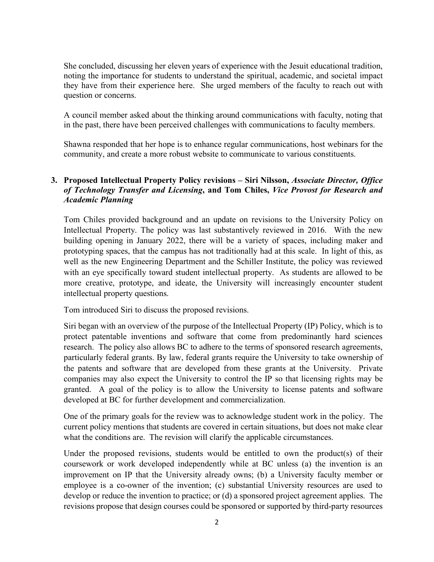She concluded, discussing her eleven years of experience with the Jesuit educational tradition, noting the importance for students to understand the spiritual, academic, and societal impact they have from their experience here. She urged members of the faculty to reach out with question or concerns.

A council member asked about the thinking around communications with faculty, noting that in the past, there have been perceived challenges with communications to faculty members.

Shawna responded that her hope is to enhance regular communications, host webinars for the community, and create a more robust website to communicate to various constituents.

## **3. Proposed Intellectual Property Policy revisions – Siri Nilsson,** *Associate Director, Office of Technology Transfer and Licensing***, and Tom Chiles,** *Vice Provost for Research and Academic Planning*

Tom Chiles provided background and an update on revisions to the University Policy on Intellectual Property. The policy was last substantively reviewed in 2016. With the new building opening in January 2022, there will be a variety of spaces, including maker and prototyping spaces, that the campus has not traditionally had at this scale. In light of this, as well as the new Engineering Department and the Schiller Institute, the policy was reviewed with an eye specifically toward student intellectual property. As students are allowed to be more creative, prototype, and ideate, the University will increasingly encounter student intellectual property questions.

Tom introduced Siri to discuss the proposed revisions.

Siri began with an overview of the purpose of the Intellectual Property (IP) Policy, which is to protect patentable inventions and software that come from predominantly hard sciences research. The policy also allows BC to adhere to the terms of sponsored research agreements, particularly federal grants. By law, federal grants require the University to take ownership of the patents and software that are developed from these grants at the University. Private companies may also expect the University to control the IP so that licensing rights may be granted. A goal of the policy is to allow the University to license patents and software developed at BC for further development and commercialization.

One of the primary goals for the review was to acknowledge student work in the policy. The current policy mentions that students are covered in certain situations, but does not make clear what the conditions are. The revision will clarify the applicable circumstances.

Under the proposed revisions, students would be entitled to own the product(s) of their coursework or work developed independently while at BC unless (a) the invention is an improvement on IP that the University already owns; (b) a University faculty member or employee is a co-owner of the invention; (c) substantial University resources are used to develop or reduce the invention to practice; or (d) a sponsored project agreement applies. The revisions propose that design courses could be sponsored or supported by third-party resources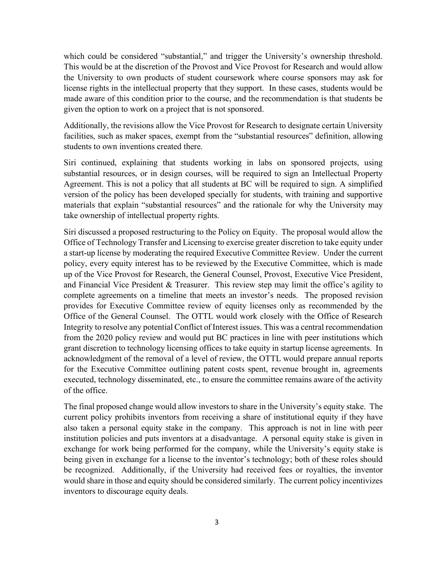which could be considered "substantial," and trigger the University's ownership threshold. This would be at the discretion of the Provost and Vice Provost for Research and would allow the University to own products of student coursework where course sponsors may ask for license rights in the intellectual property that they support. In these cases, students would be made aware of this condition prior to the course, and the recommendation is that students be given the option to work on a project that is not sponsored.

Additionally, the revisions allow the Vice Provost for Research to designate certain University facilities, such as maker spaces, exempt from the "substantial resources" definition, allowing students to own inventions created there.

Siri continued, explaining that students working in labs on sponsored projects, using substantial resources, or in design courses, will be required to sign an Intellectual Property Agreement. This is not a policy that all students at BC will be required to sign. A simplified version of the policy has been developed specially for students, with training and supportive materials that explain "substantial resources" and the rationale for why the University may take ownership of intellectual property rights.

Siri discussed a proposed restructuring to the Policy on Equity. The proposal would allow the Office of Technology Transfer and Licensing to exercise greater discretion to take equity under a start-up license by moderating the required Executive Committee Review. Under the current policy, every equity interest has to be reviewed by the Executive Committee, which is made up of the Vice Provost for Research, the General Counsel, Provost, Executive Vice President, and Financial Vice President & Treasurer. This review step may limit the office's agility to complete agreements on a timeline that meets an investor's needs. The proposed revision provides for Executive Committee review of equity licenses only as recommended by the Office of the General Counsel. The OTTL would work closely with the Office of Research Integrity to resolve any potential Conflict of Interest issues. This was a central recommendation from the 2020 policy review and would put BC practices in line with peer institutions which grant discretion to technology licensing offices to take equity in startup license agreements. In acknowledgment of the removal of a level of review, the OTTL would prepare annual reports for the Executive Committee outlining patent costs spent, revenue brought in, agreements executed, technology disseminated, etc., to ensure the committee remains aware of the activity of the office.

The final proposed change would allow investors to share in the University's equity stake. The current policy prohibits inventors from receiving a share of institutional equity if they have also taken a personal equity stake in the company. This approach is not in line with peer institution policies and puts inventors at a disadvantage. A personal equity stake is given in exchange for work being performed for the company, while the University's equity stake is being given in exchange for a license to the inventor's technology; both of these roles should be recognized. Additionally, if the University had received fees or royalties, the inventor would share in those and equity should be considered similarly. The current policy incentivizes inventors to discourage equity deals.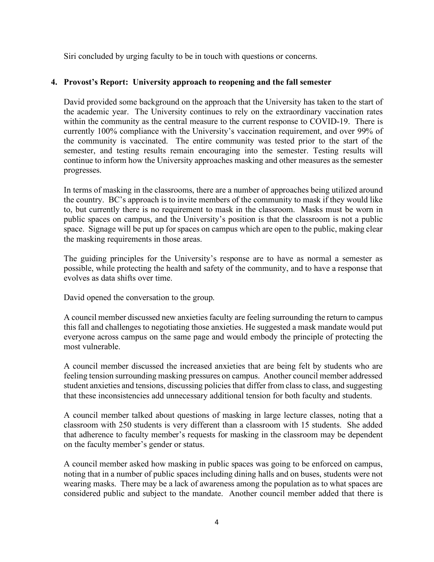Siri concluded by urging faculty to be in touch with questions or concerns.

## **4. Provost's Report: University approach to reopening and the fall semester**

David provided some background on the approach that the University has taken to the start of the academic year. The University continues to rely on the extraordinary vaccination rates within the community as the central measure to the current response to COVID-19. There is currently 100% compliance with the University's vaccination requirement, and over 99% of the community is vaccinated. The entire community was tested prior to the start of the semester, and testing results remain encouraging into the semester. Testing results will continue to inform how the University approaches masking and other measures as the semester progresses.

In terms of masking in the classrooms, there are a number of approaches being utilized around the country. BC's approach is to invite members of the community to mask if they would like to, but currently there is no requirement to mask in the classroom. Masks must be worn in public spaces on campus, and the University's position is that the classroom is not a public space. Signage will be put up for spaces on campus which are open to the public, making clear the masking requirements in those areas.

The guiding principles for the University's response are to have as normal a semester as possible, while protecting the health and safety of the community, and to have a response that evolves as data shifts over time.

David opened the conversation to the group.

A council member discussed new anxieties faculty are feeling surrounding the return to campus this fall and challenges to negotiating those anxieties. He suggested a mask mandate would put everyone across campus on the same page and would embody the principle of protecting the most vulnerable.

A council member discussed the increased anxieties that are being felt by students who are feeling tension surrounding masking pressures on campus. Another council member addressed student anxieties and tensions, discussing policies that differ from class to class, and suggesting that these inconsistencies add unnecessary additional tension for both faculty and students.

A council member talked about questions of masking in large lecture classes, noting that a classroom with 250 students is very different than a classroom with 15 students. She added that adherence to faculty member's requests for masking in the classroom may be dependent on the faculty member's gender or status.

A council member asked how masking in public spaces was going to be enforced on campus, noting that in a number of public spaces including dining halls and on buses, students were not wearing masks. There may be a lack of awareness among the population as to what spaces are considered public and subject to the mandate. Another council member added that there is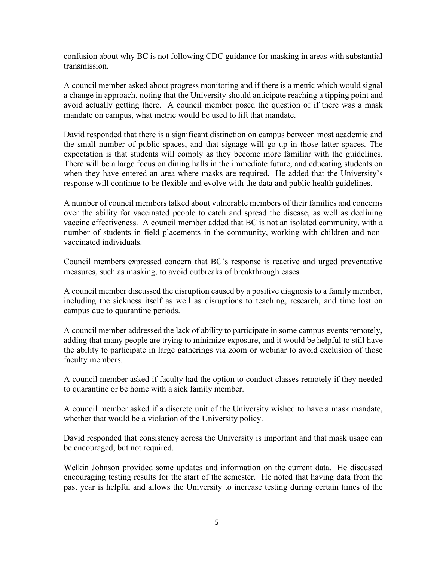confusion about why BC is not following CDC guidance for masking in areas with substantial transmission.

A council member asked about progress monitoring and if there is a metric which would signal a change in approach, noting that the University should anticipate reaching a tipping point and avoid actually getting there. A council member posed the question of if there was a mask mandate on campus, what metric would be used to lift that mandate.

David responded that there is a significant distinction on campus between most academic and the small number of public spaces, and that signage will go up in those latter spaces. The expectation is that students will comply as they become more familiar with the guidelines. There will be a large focus on dining halls in the immediate future, and educating students on when they have entered an area where masks are required. He added that the University's response will continue to be flexible and evolve with the data and public health guidelines.

A number of council members talked about vulnerable members of their families and concerns over the ability for vaccinated people to catch and spread the disease, as well as declining vaccine effectiveness. A council member added that BC is not an isolated community, with a number of students in field placements in the community, working with children and nonvaccinated individuals.

Council members expressed concern that BC's response is reactive and urged preventative measures, such as masking, to avoid outbreaks of breakthrough cases.

A council member discussed the disruption caused by a positive diagnosis to a family member, including the sickness itself as well as disruptions to teaching, research, and time lost on campus due to quarantine periods.

A council member addressed the lack of ability to participate in some campus events remotely, adding that many people are trying to minimize exposure, and it would be helpful to still have the ability to participate in large gatherings via zoom or webinar to avoid exclusion of those faculty members.

A council member asked if faculty had the option to conduct classes remotely if they needed to quarantine or be home with a sick family member.

A council member asked if a discrete unit of the University wished to have a mask mandate, whether that would be a violation of the University policy.

David responded that consistency across the University is important and that mask usage can be encouraged, but not required.

Welkin Johnson provided some updates and information on the current data. He discussed encouraging testing results for the start of the semester. He noted that having data from the past year is helpful and allows the University to increase testing during certain times of the